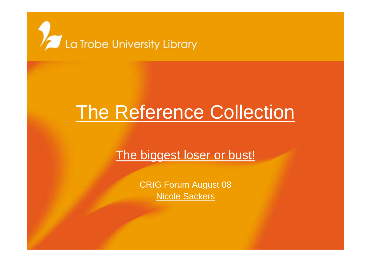

# The Reference Collection

#### The biggest loser or bust!

CRIG Forum August 08 Nicole Sackers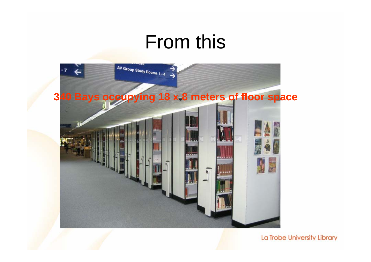#### From this

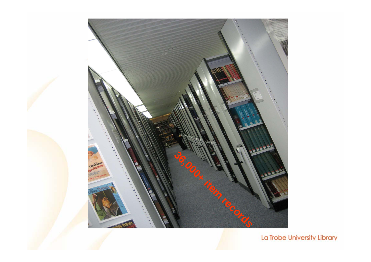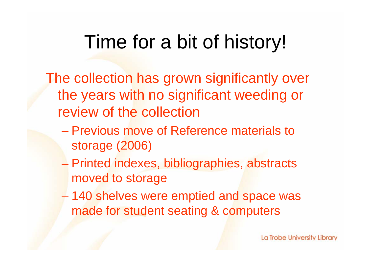## Time for a bit of history!

The collection has grown significantly over the years with no significant weeding or review of the collection

- Previous move of Reference materials to storage (2006)
- Printed indexes, bibliographies, abstracts moved to storage
- $\mathcal{L}_{\mathcal{A}}$  , and the set of the set of the set of the set of the set of the set of the set of the set of the set of the set of the set of the set of the set of the set of the set of the set of the set of the set of th 140 shelves were emptied and space was made for student seating & computers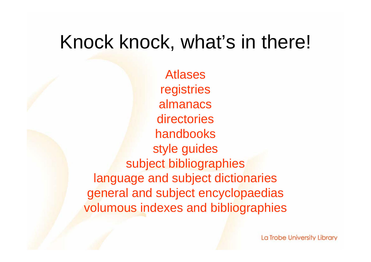#### Knock knock, what's in there!

Atlasesregistries almanacsdirectorieshandbooksstyle guides subject bibliographies language and subject dictionaries general and subject encyclopaedias volumous indexes and bibliographies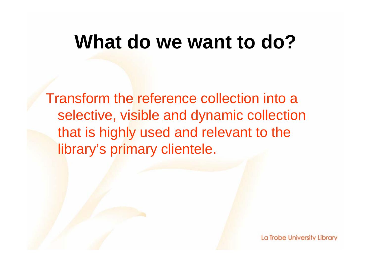#### **What do we want to do?**

Transform the reference collection into a selective, visible and dynamic collection that is highly used and relevant to the library's primary clientele.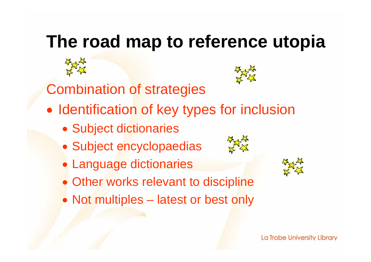### **The road map to reference utopia**



- Subject encyclopaedias
- Language dictionaries
- Other works relevant to discipline
- Not multiples latest or best only

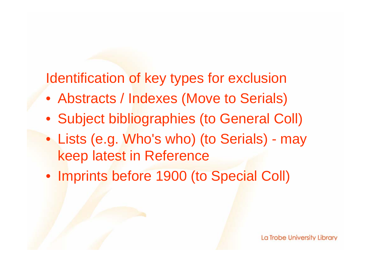Identification of key types for exclusion

- Abstracts / Indexes (Move to Serials)
- Subject bibliographies (to General Coll)
- Lists (e.g. Who's who) (to Serials) may keep latest in Reference
- Imprints before 1900 (to Special Coll)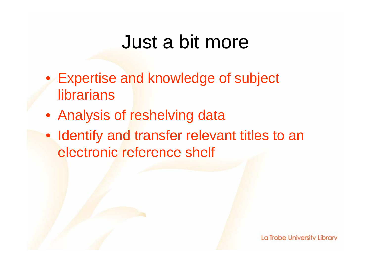### Just a bit more

- Expertise and knowledge of subject librarians
- Analysis of reshelving data
- Identify and transfer relevant titles to an electronic reference shelf